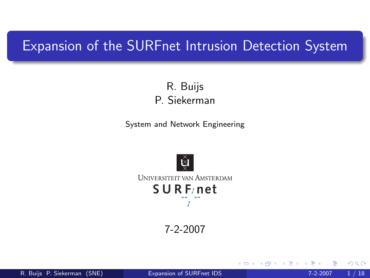# Expansion of the SURFnet Intrusion Detection System

R. Buijs P. Siekerman

System and Network Engineering



7-2-2007

R. Buijs P. Siekerman (SNE) **[Expansion of SURFnet IDS](#page-17-0)** 7-2-2007 1 / 18

4 D F

<span id="page-0-0"></span>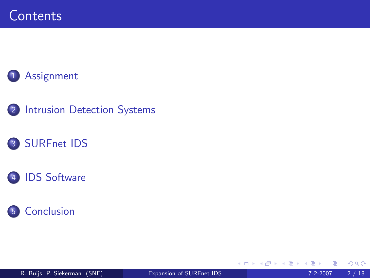# [Assignment](#page-2-0)

2 [Intrusion Detection Systems](#page-3-0)

# 3 [SURFnet IDS](#page-5-0)





4 0 8

∋⊳⊣ э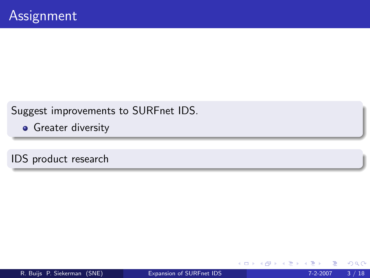Suggest improvements to SURFnet IDS.

**•** Greater diversity

IDS product research

<span id="page-2-0"></span> $\leftarrow$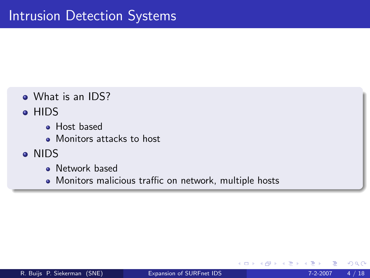- What is an IDS?
- **HIDS** 
	- **•** Host based
	- Monitors attacks to host
- <span id="page-3-0"></span>NIDS
	- **Network based**
	- Monitors malicious traffic on network, multiple hosts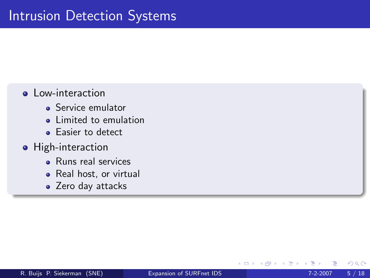## **o** Low-interaction

- **Service emulator**
- **.** Limited to emulation
- Easier to detect

## **•** High-interaction

- **e** Runs real services
- Real host, or virtual
- Zero day attacks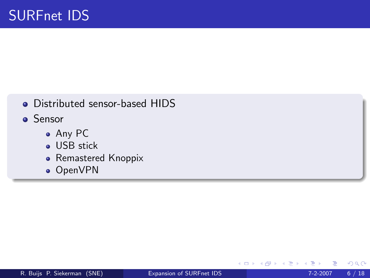- Distributed sensor-based HIDS
- **o** Sensor
	- Any PC
	- **.** USB stick
	- Remastered Knoppix
	- OpenVPN

4 0 8

<span id="page-5-0"></span>×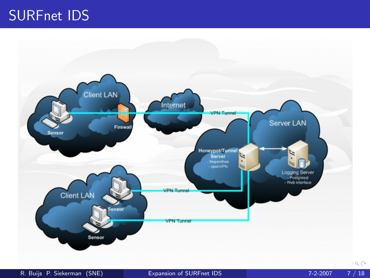# SURFnet IDS

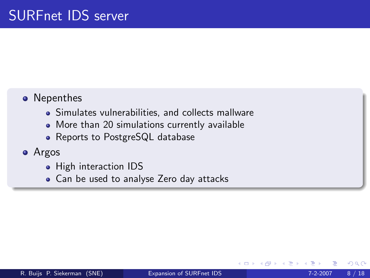# • Nepenthes

- Simulates vulnerabilities, and collects mallware
- More than 20 simulations currently available
- Reports to PostgreSQL database

### Argos

- High interaction IDS
- Can be used to analyse Zero day attacks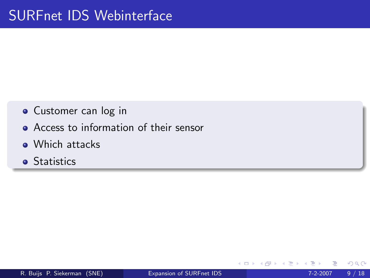- **•** Customer can log in
- **Access to information of their sensor**
- Which attacks
- **•** Statistics

 $QQ$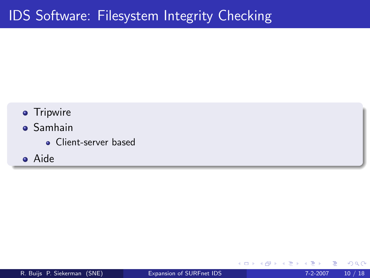- **•** Tripwire
- Samhain
	- Client-server based
- Aide

4 0 8

<span id="page-9-0"></span> $QQ$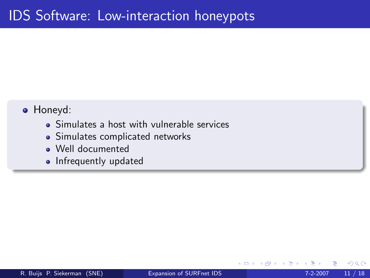#### Honeyd:

- Simulates a host with vulnerable services
- Simulates complicated networks
- Well documented
- Infrequently updated

 $\leftarrow$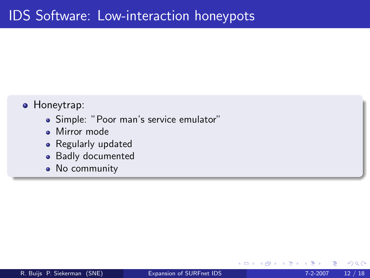- **•** Honeytrap:
	- Simple: "Poor man's service emulator"
	- **Mirror** mode
	- Regularly updated
	- Badly documented
	- No community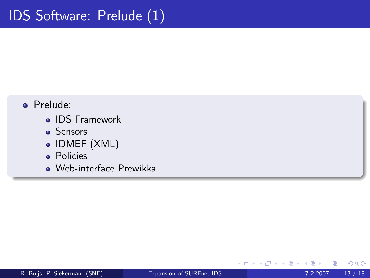## Prelude:

- IDS Framework
- Sensors
- IDMEF (XML)
- **•** Policies
- Web-interface Prewikka

4 0 8

 $\rightarrow$ 

 $QQ$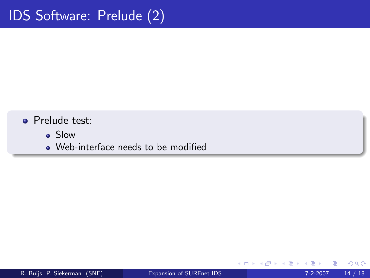## **•** Prelude test:

- Slow
- Web-interface needs to be modified

4 0 8

×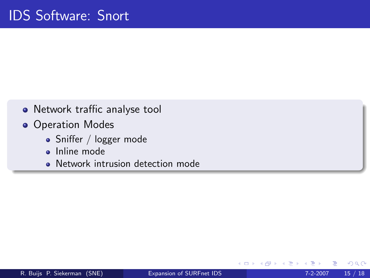- Network traffic analyse tool
- **Operation Modes** 
	- Sniffer / logger mode
	- **o** Inline mode
	- Network intrusion detection mode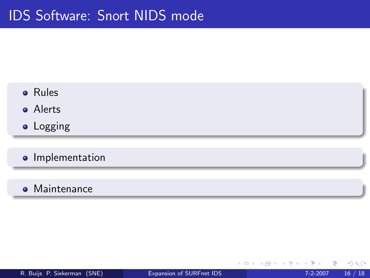- **o** Rules
- **a** Alerts
- Logging
- **o** Implementation
- **•** Maintenance

4 0 8

×

 $QQQ$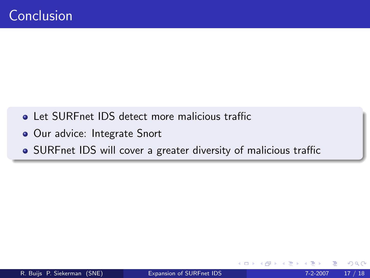- **.** Let SUREnet IDS detect more malicious traffic
- · Our advice: Integrate Snort
- <span id="page-16-0"></span>• SURFnet IDS will cover a greater diversity of malicious traffic